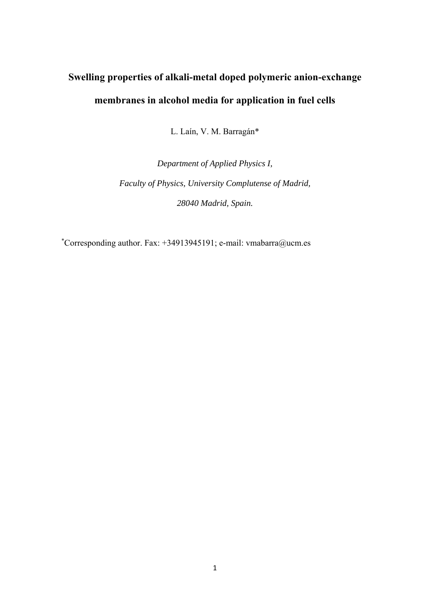# **Swelling properties of alkali-metal doped polymeric anion-exchange membranes in alcohol media for application in fuel cells**

L. Laín, V. M. Barragán\*

*Department of Applied Physics I, Faculty of Physics, University Complutense of Madrid, 28040 Madrid, Spain.* 

\* Corresponding author. Fax: +34913945191; e-mail: vmabarra@ucm.es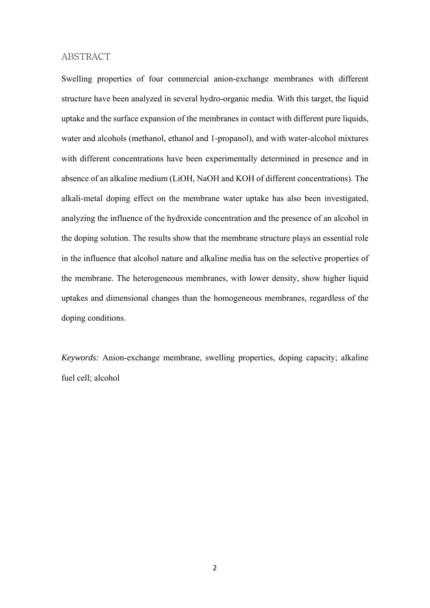#### ABSTRACT

Swelling properties of four commercial anion-exchange membranes with different structure have been analyzed in several hydro-organic media. With this target, the liquid uptake and the surface expansion of the membranes in contact with different pure liquids, water and alcohols (methanol, ethanol and 1-propanol), and with water-alcohol mixtures with different concentrations have been experimentally determined in presence and in absence of an alkaline medium (LiOH, NaOH and KOH of different concentrations). The alkali-metal doping effect on the membrane water uptake has also been investigated, analyzing the influence of the hydroxide concentration and the presence of an alcohol in the doping solution. The results show that the membrane structure plays an essential role in the influence that alcohol nature and alkaline media has on the selective properties of the membrane. The heterogeneous membranes, with lower density, show higher liquid uptakes and dimensional changes than the homogeneous membranes, regardless of the doping conditions.

*Keywords:* Anion-exchange membrane, swelling properties, doping capacity; alkaline fuel cell; alcohol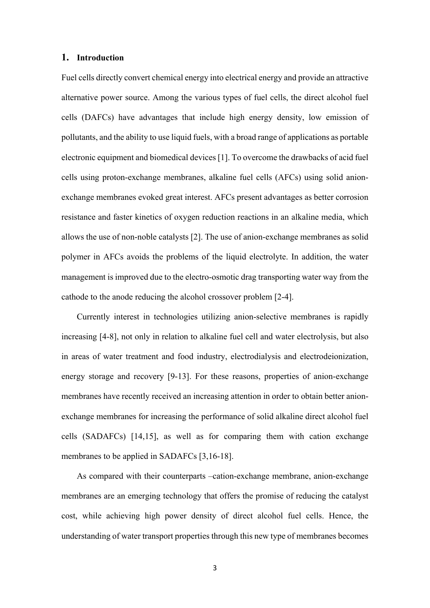#### **1. Introduction**

Fuel cells directly convert chemical energy into electrical energy and provide an attractive alternative power source. Among the various types of fuel cells, the direct alcohol fuel cells (DAFCs) have advantages that include high energy density, low emission of pollutants, and the ability to use liquid fuels, with a broad range of applications as portable electronic equipment and biomedical devices [1]. To overcome the drawbacks of acid fuel cells using proton-exchange membranes, alkaline fuel cells (AFCs) using solid anionexchange membranes evoked great interest. AFCs present advantages as better corrosion resistance and faster kinetics of oxygen reduction reactions in an alkaline media, which allows the use of non-noble catalysts [2]. The use of anion-exchange membranes as solid polymer in AFCs avoids the problems of the liquid electrolyte. In addition, the water management is improved due to the electro-osmotic drag transporting water way from the cathode to the anode reducing the alcohol crossover problem [2-4].

 Currently interest in technologies utilizing anion-selective membranes is rapidly increasing [4-8], not only in relation to alkaline fuel cell and water electrolysis, but also in areas of water treatment and food industry, electrodialysis and electrodeionization, energy storage and recovery [9-13]. For these reasons, properties of anion-exchange membranes have recently received an increasing attention in order to obtain better anionexchange membranes for increasing the performance of solid alkaline direct alcohol fuel cells (SADAFCs) [14,15], as well as for comparing them with cation exchange membranes to be applied in SADAFCs [3,16-18].

As compared with their counterparts –cation-exchange membrane, anion-exchange membranes are an emerging technology that offers the promise of reducing the catalyst cost, while achieving high power density of direct alcohol fuel cells. Hence, the understanding of water transport properties through this new type of membranes becomes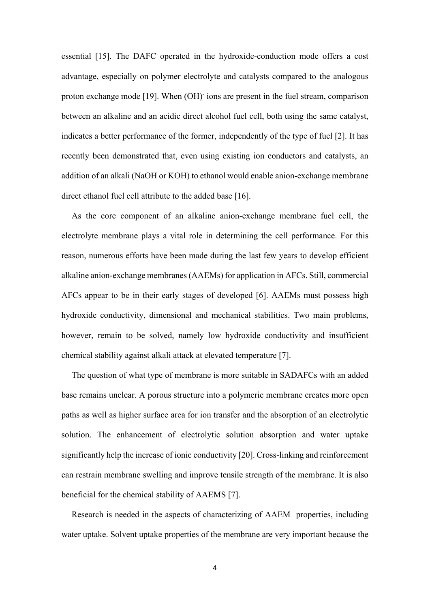essential [15]. The DAFC operated in the hydroxide-conduction mode offers a cost advantage, especially on polymer electrolyte and catalysts compared to the analogous proton exchange mode [19]. When (OH) ions are present in the fuel stream, comparison between an alkaline and an acidic direct alcohol fuel cell, both using the same catalyst, indicates a better performance of the former, independently of the type of fuel [2]. It has recently been demonstrated that, even using existing ion conductors and catalysts, an addition of an alkali (NaOH or KOH) to ethanol would enable anion-exchange membrane direct ethanol fuel cell attribute to the added base [16].

 As the core component of an alkaline anion-exchange membrane fuel cell, the electrolyte membrane plays a vital role in determining the cell performance. For this reason, numerous efforts have been made during the last few years to develop efficient alkaline anion-exchange membranes (AAEMs) for application in AFCs. Still, commercial AFCs appear to be in their early stages of developed [6]. AAEMs must possess high hydroxide conductivity, dimensional and mechanical stabilities. Two main problems, however, remain to be solved, namely low hydroxide conductivity and insufficient chemical stability against alkali attack at elevated temperature [7].

 The question of what type of membrane is more suitable in SADAFCs with an added base remains unclear. A porous structure into a polymeric membrane creates more open paths as well as higher surface area for ion transfer and the absorption of an electrolytic solution. The enhancement of electrolytic solution absorption and water uptake significantly help the increase of ionic conductivity [20]. Cross-linking and reinforcement can restrain membrane swelling and improve tensile strength of the membrane. It is also beneficial for the chemical stability of AAEMS [7].

 Research is needed in the aspects of characterizing of AAEM properties, including water uptake. Solvent uptake properties of the membrane are very important because the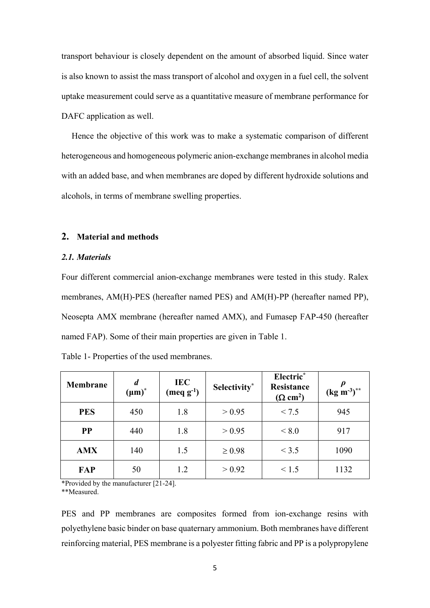transport behaviour is closely dependent on the amount of absorbed liquid. Since water is also known to assist the mass transport of alcohol and oxygen in a fuel cell, the solvent uptake measurement could serve as a quantitative measure of membrane performance for DAFC application as well.

 Hence the objective of this work was to make a systematic comparison of different heterogeneous and homogeneous polymeric anion-exchange membranes in alcohol media with an added base, and when membranes are doped by different hydroxide solutions and alcohols, in terms of membrane swelling properties.

# **2. Material and methods**

# *2.1. Materials*

Four different commercial anion-exchange membranes were tested in this study. Ralex membranes, AM(H)-PES (hereafter named PES) and AM(H)-PP (hereafter named PP), Neosepta AMX membrane (hereafter named AMX), and Fumasep FAP-450 (hereafter named FAP). Some of their main properties are given in Table 1.

| Membrane   | $\boldsymbol{d}$<br>$(\mu m)^*$ | <b>IEC</b><br>$(\text{meq g}^{-1})$ | Selectivity* | Electric*<br>Resistance<br>$(\Omega$ cm <sup>2</sup> ) | $\pmb{\rho}$<br>$(\text{kg m}^{-3})^{**}$ |
|------------|---------------------------------|-------------------------------------|--------------|--------------------------------------------------------|-------------------------------------------|
| <b>PES</b> | 450                             | 1.8                                 | > 0.95       | < 7.5                                                  | 945                                       |
| <b>PP</b>  | 440                             | 1.8                                 | > 0.95       | ${}<\,8.0$                                             | 917                                       |
| <b>AMX</b> | 140                             | 1.5                                 | $\geq 0.98$  | < 3.5                                                  | 1090                                      |
| FAP        | 50                              | 1.2                                 | > 0.92       | < 1.5                                                  | 1132                                      |

Table 1- Properties of the used membranes.

\*Provided by the manufacturer [21-24].

\*\*Measured.

PES and PP membranes are composites formed from ion-exchange resins with polyethylene basic binder on base quaternary ammonium. Both membranes have different reinforcing material, PES membrane is a polyester fitting fabric and PP is a polypropylene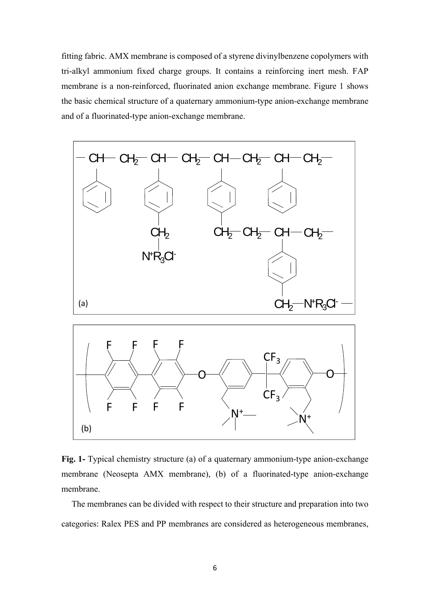fitting fabric. AMX membrane is composed of a styrene divinylbenzene copolymers with tri-alkyl ammonium fixed charge groups. It contains a reinforcing inert mesh. FAP membrane is a non-reinforced, fluorinated anion exchange membrane. Figure 1 shows the basic chemical structure of a quaternary ammonium-type anion-exchange membrane and of a fluorinated-type anion-exchange membrane.



**Fig. 1-** Typical chemistry structure (a) of a quaternary ammonium-type anion-exchange membrane (Neosepta AMX membrane), (b) of a fluorinated-type anion-exchange membrane.

 The membranes can be divided with respect to their structure and preparation into two categories: Ralex PES and PP membranes are considered as heterogeneous membranes,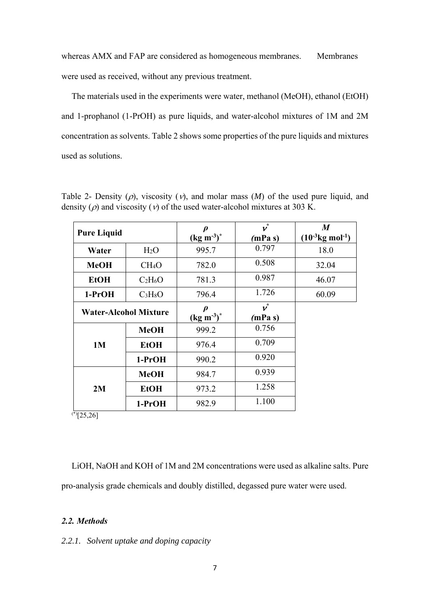whereas AMX and FAP are considered as homogeneous membranes. Membranes were used as received, without any previous treatment.

 The materials used in the experiments were water, methanol (MeOH), ethanol (EtOH) and 1-prophanol (1-PrOH) as pure liquids, and water-alcohol mixtures of 1M and 2M concentration as solvents. Table 2 shows some properties of the pure liquids and mixtures used as solutions.

| <b>Pure Liquid</b> |                                 | D<br>$(kg m^{-3})^*$ | $\bar{\mathbf{v}}^*$<br>(mPa s) | $\boldsymbol{M}$<br>$(10^{-3}$ kg mol <sup>-1</sup> ) |
|--------------------|---------------------------------|----------------------|---------------------------------|-------------------------------------------------------|
| Water              | H <sub>2</sub> O                | 995.7                | 0.797                           | 18.0                                                  |
| <b>MeOH</b>        | CH <sub>4</sub> O               | 782.0                | 0.508                           | 32.04                                                 |
| <b>EtOH</b>        | $C_2H_6O$                       | 781.3                | 0.987                           | 46.07                                                 |
| $1-PrOH$           | C <sub>3</sub> H <sub>8</sub> O | 796.4                | 1.726                           | 60.09                                                 |
|                    | <b>Water-Alcohol Mixture</b>    |                      | $\vec{v}$<br>(mPa s)            |                                                       |
|                    | <b>MeOH</b>                     | 999.2                | 0.756                           |                                                       |
| 1M                 | <b>EtOH</b>                     | 976.4                | 0.709                           |                                                       |
|                    | $1-PrOH$                        | 990.2                | 0.920                           |                                                       |
|                    | <b>MeOH</b>                     | 984.7                | 0.939                           |                                                       |
| 2M                 | <b>EtOH</b>                     | 973.2                | 1.258                           |                                                       |
|                    | $1-PrOH$                        | 982.9                | 1.100                           |                                                       |

Table 2- Density  $(\rho)$ , viscosity  $(\nu)$ , and molar mass  $(M)$  of the used pure liquid, and density ( $\rho$ ) and viscosity ( $\nu$ ) of the used water-alcohol mixtures at 303 K.

 $\sqrt[3]{25,26}$ 

 LiOH, NaOH and KOH of 1M and 2M concentrations were used as alkaline salts. Pure pro-analysis grade chemicals and doubly distilled, degassed pure water were used.

# *2.2. Methods*

# *2.2.1. Solvent uptake and doping capacity*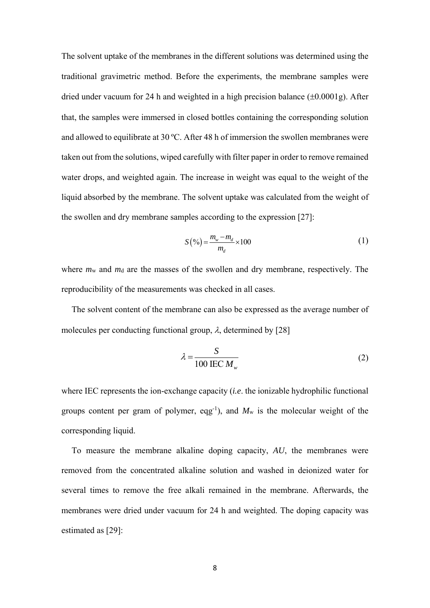The solvent uptake of the membranes in the different solutions was determined using the traditional gravimetric method. Before the experiments, the membrane samples were dried under vacuum for 24 h and weighted in a high precision balance  $(\pm 0.0001g)$ . After that, the samples were immersed in closed bottles containing the corresponding solution and allowed to equilibrate at 30 ºC. After 48 h of immersion the swollen membranes were taken out from the solutions, wiped carefully with filter paper in order to remove remained water drops, and weighted again. The increase in weight was equal to the weight of the liquid absorbed by the membrane. The solvent uptake was calculated from the weight of the swollen and dry membrane samples according to the expression [27]:

$$
S(\%) = \frac{m_w - m_d}{m_d} \times 100
$$
 (1)

where  $m<sub>w</sub>$  and  $m<sub>d</sub>$  are the masses of the swollen and dry membrane, respectively. The reproducibility of the measurements was checked in all cases.

The solvent content of the membrane can also be expressed as the average number of molecules per conducting functional group,  $\lambda$ , determined by [28]

$$
\lambda = \frac{S}{100 \text{ IEC } M_w} \tag{2}
$$

where IEC represents the ion-exchange capacity (*i.e*. the ionizable hydrophilic functional groups content per gram of polymer, eqg<sup>-1</sup>), and  $M_w$  is the molecular weight of the corresponding liquid.

To measure the membrane alkaline doping capacity, *AU*, the membranes were removed from the concentrated alkaline solution and washed in deionized water for several times to remove the free alkali remained in the membrane. Afterwards, the membranes were dried under vacuum for 24 h and weighted. The doping capacity was estimated as [29]: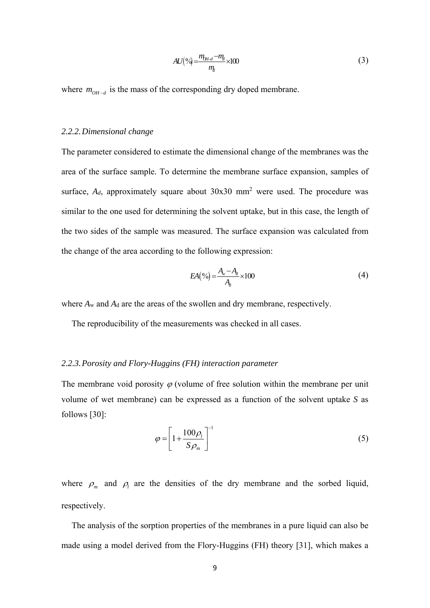$$
AU(^{9}\acute{q}) = \frac{m_{H-d} - m_{ll}}{m_{ll}} \times 100\tag{3}
$$

where  $m_{OH-d}$  is the mass of the corresponding dry doped membrane.

#### *2.2.2.Dimensional change*

The parameter considered to estimate the dimensional change of the membranes was the area of the surface sample. To determine the membrane surface expansion, samples of surface,  $A_d$ , approximately square about  $30x30$  mm<sup>2</sup> were used. The procedure was similar to the one used for determining the solvent uptake, but in this case, the length of the two sides of the sample was measured. The surface expansion was calculated from the change of the area according to the following expression:

$$
EA(\%) = \frac{A_v - A_d}{A_d} \times 100\tag{4}
$$

where  $A_w$  and  $A_d$  are the areas of the swollen and dry membrane, respectively.

The reproducibility of the measurements was checked in all cases.

#### *2.2.3.Porosity and Flory-Huggins (FH) interaction parameter*

The membrane void porosity  $\varphi$  (volume of free solution within the membrane per unit volume of wet membrane) can be expressed as a function of the solvent uptake *S* as follows [30]:

$$
\varphi = \left[1 + \frac{100\rho_l}{S\rho_m}\right]^{-1} \tag{5}
$$

where  $\rho_m$  and  $\rho_l$  are the densities of the dry membrane and the sorbed liquid, respectively.

 The analysis of the sorption properties of the membranes in a pure liquid can also be made using a model derived from the Flory-Huggins (FH) theory [31], which makes a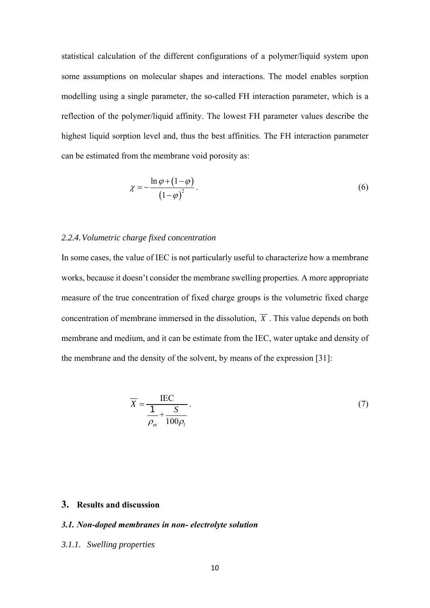statistical calculation of the different configurations of a polymer/liquid system upon some assumptions on molecular shapes and interactions. The model enables sorption modelling using a single parameter, the so-called FH interaction parameter, which is a reflection of the polymer/liquid affinity. The lowest FH parameter values describe the highest liquid sorption level and, thus the best affinities. The FH interaction parameter can be estimated from the membrane void porosity as:

$$
\chi = -\frac{\ln \varphi + (1 - \varphi)}{\left(1 - \varphi\right)^2}.
$$
\n<sup>(6)</sup>

# *2.2.4.Volumetric charge fixed concentration*

In some cases, the value of IEC is not particularly useful to characterize how a membrane works, because it doesn't consider the membrane swelling properties. A more appropriate measure of the true concentration of fixed charge groups is the volumetric fixed charge concentration of membrane immersed in the dissolution,  $\overline{X}$ . This value depends on both membrane and medium, and it can be estimate from the IEC, water uptake and density of the membrane and the density of the solvent, by means of the expression [31]:

$$
\overline{X} = \frac{\text{IEC}}{\frac{1}{\rho_m} + \frac{S}{100\rho_l}}.
$$
\n(7)

# **3. Results and discussion**

#### *3.1. Non-doped membranes in non- electrolyte solution*

#### *3.1.1. Swelling properties*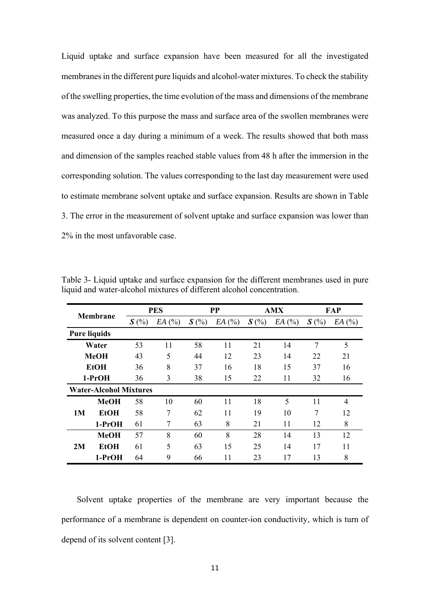Liquid uptake and surface expansion have been measured for all the investigated membranes in the different pure liquids and alcohol-water mixtures. To check the stability of the swelling properties, the time evolution of the mass and dimensions of the membrane was analyzed. To this purpose the mass and surface area of the swollen membranes were measured once a day during a minimum of a week. The results showed that both mass and dimension of the samples reached stable values from 48 h after the immersion in the corresponding solution. The values corresponding to the last day measurement were used to estimate membrane solvent uptake and surface expansion. Results are shown in Table 3. The error in the measurement of solvent uptake and surface expansion was lower than 2% in the most unfavorable case.

|    | Membrane                      |         | <b>PES</b> |         | <b>PP</b> |         | <b>AMX</b> | FAP     |       |
|----|-------------------------------|---------|------------|---------|-----------|---------|------------|---------|-------|
|    |                               | $S(\%)$ | EA(%)      | $S(\%)$ | EA(%)     | $S(\%)$ | EA(%)      | $S(\%)$ | EA(%) |
|    | <b>Pure liquids</b>           |         |            |         |           |         |            |         |       |
|    | Water                         | 53      | 11         | 58      | 11        | 21      | 14         | 7       | 5     |
|    | <b>MeOH</b>                   | 43      | 5          | 44      | 12        | 23      | 14         | 22      | 21    |
|    | <b>EtOH</b>                   | 36      | 8          | 37      | 16        | 18      | 15         | 37      | 16    |
|    | $1-PrOH$                      | 36      | 3          | 38      | 15        | 22      | 11         | 32      | 16    |
|    | <b>Water-Alcohol Mixtures</b> |         |            |         |           |         |            |         |       |
|    | <b>MeOH</b>                   | 58      | 10         | 60      | 11        | 18      | 5          | 11      | 4     |
| 1M | <b>EtOH</b>                   | 58      | 7          | 62      | 11        | 19      | 10         | 7       | 12    |
|    | 1-PrOH                        | 61      | 7          | 63      | 8         | 21      | 11         | 12      | 8     |
|    | <b>MeOH</b>                   | 57      | 8          | 60      | 8         | 28      | 14         | 13      | 12    |
| 2M | <b>EtOH</b>                   | 61      | 5          | 63      | 15        | 25      | 14         | 17      | 11    |
|    | $1-PrOH$                      | 64      | 9          | 66      | 11        | 23      | 17         | 13      | 8     |

Table 3- Liquid uptake and surface expansion for the different membranes used in pure liquid and water-alcohol mixtures of different alcohol concentration.

Solvent uptake properties of the membrane are very important because the performance of a membrane is dependent on counter-ion conductivity, which is turn of depend of its solvent content [3].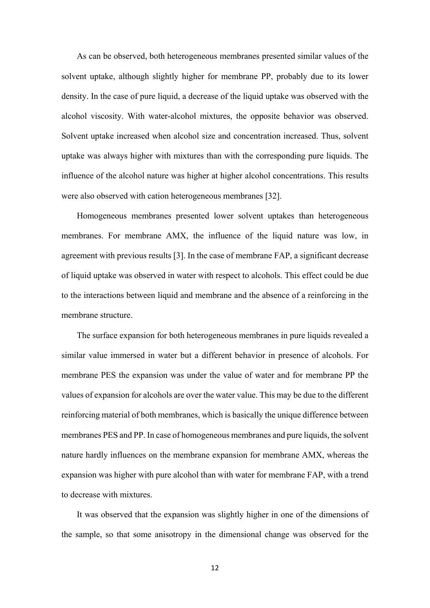As can be observed, both heterogeneous membranes presented similar values of the solvent uptake, although slightly higher for membrane PP, probably due to its lower density. In the case of pure liquid, a decrease of the liquid uptake was observed with the alcohol viscosity. With water-alcohol mixtures, the opposite behavior was observed. Solvent uptake increased when alcohol size and concentration increased. Thus, solvent uptake was always higher with mixtures than with the corresponding pure liquids. The influence of the alcohol nature was higher at higher alcohol concentrations. This results were also observed with cation heterogeneous membranes [32].

Homogeneous membranes presented lower solvent uptakes than heterogeneous membranes. For membrane AMX, the influence of the liquid nature was low, in agreement with previous results [3]. In the case of membrane FAP, a significant decrease of liquid uptake was observed in water with respect to alcohols. This effect could be due to the interactions between liquid and membrane and the absence of a reinforcing in the membrane structure.

The surface expansion for both heterogeneous membranes in pure liquids revealed a similar value immersed in water but a different behavior in presence of alcohols. For membrane PES the expansion was under the value of water and for membrane PP the values of expansion for alcohols are over the water value. This may be due to the different reinforcing material of both membranes, which is basically the unique difference between membranes PES and PP. In case of homogeneous membranes and pure liquids, the solvent nature hardly influences on the membrane expansion for membrane AMX, whereas the expansion was higher with pure alcohol than with water for membrane FAP, with a trend to decrease with mixtures.

It was observed that the expansion was slightly higher in one of the dimensions of the sample, so that some anisotropy in the dimensional change was observed for the

12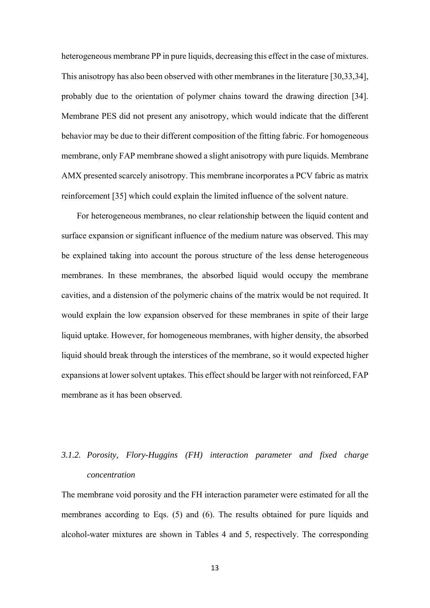heterogeneous membrane PP in pure liquids, decreasing this effect in the case of mixtures. This anisotropy has also been observed with other membranes in the literature [30,33,34], probably due to the orientation of polymer chains toward the drawing direction [34]. Membrane PES did not present any anisotropy, which would indicate that the different behavior may be due to their different composition of the fitting fabric. For homogeneous membrane, only FAP membrane showed a slight anisotropy with pure liquids. Membrane AMX presented scarcely anisotropy. This membrane incorporates a PCV fabric as matrix reinforcement [35] which could explain the limited influence of the solvent nature.

For heterogeneous membranes, no clear relationship between the liquid content and surface expansion or significant influence of the medium nature was observed. This may be explained taking into account the porous structure of the less dense heterogeneous membranes. In these membranes, the absorbed liquid would occupy the membrane cavities, and a distension of the polymeric chains of the matrix would be not required. It would explain the low expansion observed for these membranes in spite of their large liquid uptake. However, for homogeneous membranes, with higher density, the absorbed liquid should break through the interstices of the membrane, so it would expected higher expansions at lower solvent uptakes. This effect should be larger with not reinforced, FAP membrane as it has been observed.

# *3.1.2. Porosity, Flory-Huggins (FH) interaction parameter and fixed charge concentration*

The membrane void porosity and the FH interaction parameter were estimated for all the membranes according to Eqs. (5) and (6). The results obtained for pure liquids and alcohol-water mixtures are shown in Tables 4 and 5, respectively. The corresponding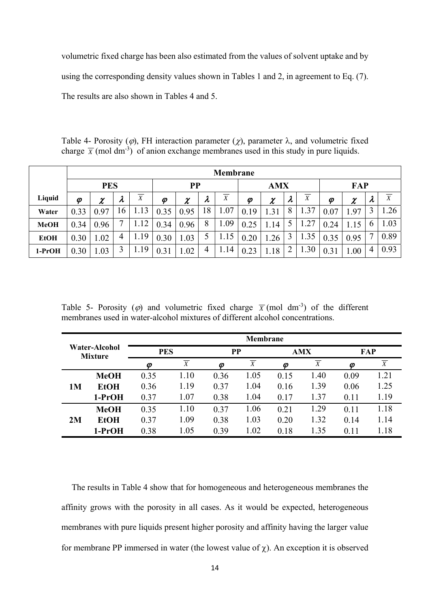volumetric fixed charge has been also estimated from the values of solvent uptake and by using the corresponding density values shown in Tables 1 and 2, in agreement to Eq. (7). The results are also shown in Tables 4 and 5.

Table 4- Porosity ( $\varphi$ ), FH interaction parameter ( $\chi$ ), parameter  $\lambda$ , and volumetric fixed charge  $\overline{X}$  (mol dm<sup>-3</sup>) of anion exchange membranes used in this study in pure liquids.

|             |            | <b>Membrane</b> |           |                |                            |        |           |                |      |                |                |                |      |        |               |      |
|-------------|------------|-----------------|-----------|----------------|----------------------------|--------|-----------|----------------|------|----------------|----------------|----------------|------|--------|---------------|------|
|             | <b>PES</b> |                 |           |                | <b>PP</b>                  |        |           | <b>AMX</b>     |      |                | <b>FAP</b>     |                |      |        |               |      |
| Liquid      | Φ          | $\pmb{\chi}$    | $\lambda$ | $\overline{X}$ | $\boldsymbol{\varnothing}$ | $\chi$ | $\lambda$ | $\overline{X}$ | Φ    | $\gamma$<br>T. | $\lambda$      | $\overline{X}$ | Ø    | $\chi$ | $\lambda$     | X    |
| Water       | 0.33       | 0.97            | 16        | 1.13           | 0.35                       | 0.95   | 18        | 1.07           | 0.19 | 1.31           | 8              | 1.37           | 0.07 | .97    |               | 1.26 |
| <b>MeOH</b> | 0.34       | 0.96            |           | 1.12           | 0.34                       | 0.96   | 8         | 1.09           | 0.25 | 1.14           | $\mathfrak{H}$ | 1.27           | 0.24 | 1.15   | $\mathfrak b$ | 1.03 |
| <b>EtOH</b> | 0.30       | 1.02            | 4         | 1.19           | 0.30                       | 1.03   |           | 1.15           | 0.20 | .26            |                | 1.35           | 0.35 | 0.95   |               | 0.89 |
| 1-PrOH      | 0.30       | 1.03            | 3         | 1.19           | 0.31                       | 1.02   | 4         | 1.14           | 0.23 | 1.18           | $\overline{2}$ | 1.30           | 0.31 | 1.00   | 4             | 0.93 |

Table 5- Porosity ( $\varphi$ ) and volumetric fixed charge  $\overline{X}$  (mol dm<sup>-3</sup>) of the different membranes used in water-alcohol mixtures of different alcohol concentrations.

|                                 |             | <b>Membrane</b> |      |                            |                  |      |            |      |      |  |  |  |
|---------------------------------|-------------|-----------------|------|----------------------------|------------------|------|------------|------|------|--|--|--|
| Water-Alcohol<br><b>Mixture</b> |             | <b>PES</b>      |      | PP                         |                  |      | <b>AMX</b> |      | FAP  |  |  |  |
|                                 |             | Ø               | X    | $\boldsymbol{\varnothing}$ | $\boldsymbol{X}$ | Φ    | X          | Φ    | X    |  |  |  |
|                                 | <b>MeOH</b> | 0.35            | 1.10 | 0.36                       | 1.05             | 0.15 | 1.40       | 0.09 | 1.21 |  |  |  |
| 1 <sub>M</sub>                  | <b>EtOH</b> | 0.36            | 1.19 | 0.37                       | 1.04             | 0.16 | 1.39       | 0.06 | 1.25 |  |  |  |
|                                 | 1-PrOH      | 0.37            | 1.07 | 0.38                       | 1.04             | 0.17 | 1.37       | 0.11 | 1.19 |  |  |  |
|                                 | <b>MeOH</b> | 0.35            | 1.10 | 0.37                       | 1.06             | 0.21 | 1.29       | 0.11 | 1.18 |  |  |  |
| 2M                              | <b>EtOH</b> | 0.37            | 1.09 | 0.38                       | 1.03             | 0.20 | 1.32       | 0.14 | 1.14 |  |  |  |
|                                 | 1-PrOH      | 0.38            | 1.05 | 0.39                       | 1.02             | 0.18 | 1.35       | 0.11 | 1.18 |  |  |  |

 The results in Table 4 show that for homogeneous and heterogeneous membranes the affinity grows with the porosity in all cases. As it would be expected, heterogeneous membranes with pure liquids present higher porosity and affinity having the larger value for membrane PP immersed in water (the lowest value of  $\chi$ ). An exception it is observed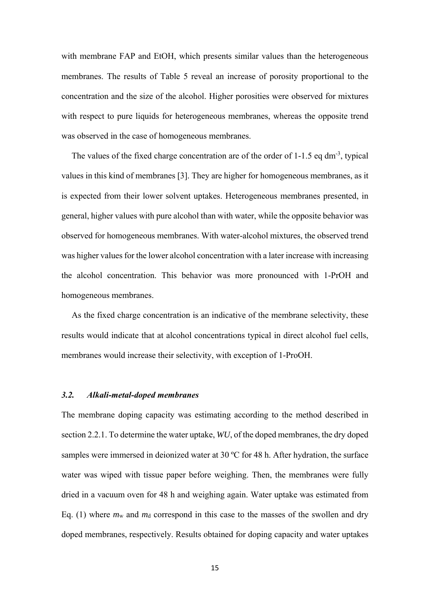with membrane FAP and EtOH, which presents similar values than the heterogeneous membranes. The results of Table 5 reveal an increase of porosity proportional to the concentration and the size of the alcohol. Higher porosities were observed for mixtures with respect to pure liquids for heterogeneous membranes, whereas the opposite trend was observed in the case of homogeneous membranes.

The values of the fixed charge concentration are of the order of 1-1.5 eq dm<sup>-3</sup>, typical values in this kind of membranes [3]. They are higher for homogeneous membranes, as it is expected from their lower solvent uptakes. Heterogeneous membranes presented, in general, higher values with pure alcohol than with water, while the opposite behavior was observed for homogeneous membranes. With water-alcohol mixtures, the observed trend was higher values for the lower alcohol concentration with a later increase with increasing the alcohol concentration. This behavior was more pronounced with 1-PrOH and homogeneous membranes.

 As the fixed charge concentration is an indicative of the membrane selectivity, these results would indicate that at alcohol concentrations typical in direct alcohol fuel cells, membranes would increase their selectivity, with exception of 1-ProOH.

# *3.2. Alkali-metal-doped membranes*

The membrane doping capacity was estimating according to the method described in section 2.2.1. To determine the water uptake, *WU*, of the doped membranes, the dry doped samples were immersed in deionized water at 30 °C for 48 h. After hydration, the surface water was wiped with tissue paper before weighing. Then, the membranes were fully dried in a vacuum oven for 48 h and weighing again. Water uptake was estimated from Eq. (1) where  $m<sub>w</sub>$  and  $m<sub>d</sub>$  correspond in this case to the masses of the swollen and dry doped membranes, respectively. Results obtained for doping capacity and water uptakes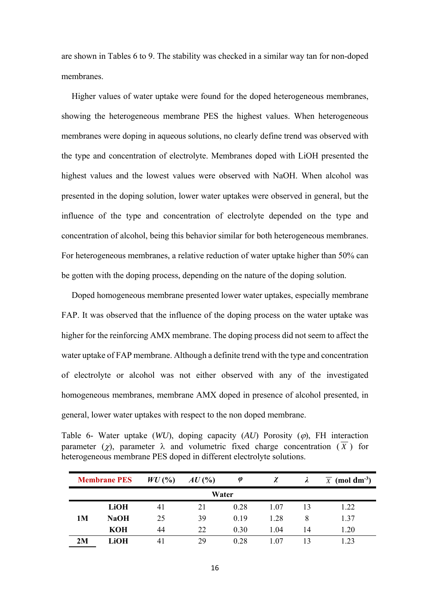are shown in Tables 6 to 9. The stability was checked in a similar way tan for non-doped membranes.

 Higher values of water uptake were found for the doped heterogeneous membranes, showing the heterogeneous membrane PES the highest values. When heterogeneous membranes were doping in aqueous solutions, no clearly define trend was observed with the type and concentration of electrolyte. Membranes doped with LiOH presented the highest values and the lowest values were observed with NaOH. When alcohol was presented in the doping solution, lower water uptakes were observed in general, but the influence of the type and concentration of electrolyte depended on the type and concentration of alcohol, being this behavior similar for both heterogeneous membranes. For heterogeneous membranes, a relative reduction of water uptake higher than 50% can be gotten with the doping process, depending on the nature of the doping solution.

 Doped homogeneous membrane presented lower water uptakes, especially membrane FAP. It was observed that the influence of the doping process on the water uptake was higher for the reinforcing AMX membrane. The doping process did not seem to affect the water uptake of FAP membrane. Although a definite trend with the type and concentration of electrolyte or alcohol was not either observed with any of the investigated homogeneous membranes, membrane AMX doped in presence of alcohol presented, in general, lower water uptakes with respect to the non doped membrane.

Table 6- Water uptake  $(WU)$ , doping capacity  $(AU)$  Porosity  $(\varphi)$ , FH interaction parameter ( $\gamma$ ), parameter  $\lambda$  and volumetric fixed charge concentration ( $\overline{X}$ ) for heterogeneous membrane PES doped in different electrolyte solutions.

|    | <b>Membrane PES</b> | $WU($ %) | $AU$ (%) | φ    | χ     |    | $\overline{X}$ (mol dm <sup>-3</sup> ) |  |  |  |  |  |
|----|---------------------|----------|----------|------|-------|----|----------------------------------------|--|--|--|--|--|
|    | Water               |          |          |      |       |    |                                        |  |  |  |  |  |
|    | LiOH                | 41       | 21       | 0.28 | 1.07  | 13 | 1.22                                   |  |  |  |  |  |
| 1M | <b>NaOH</b>         | 25       | 39       | 0.19 | 1.28  | 8  | 1.37                                   |  |  |  |  |  |
|    | <b>KOH</b>          | 44       | 22       | 0.30 | 1.04  | 14 | 1.20                                   |  |  |  |  |  |
| 2M | LiOH                | 41       | 29       | 0.28 | $+07$ | 13 | 1 23                                   |  |  |  |  |  |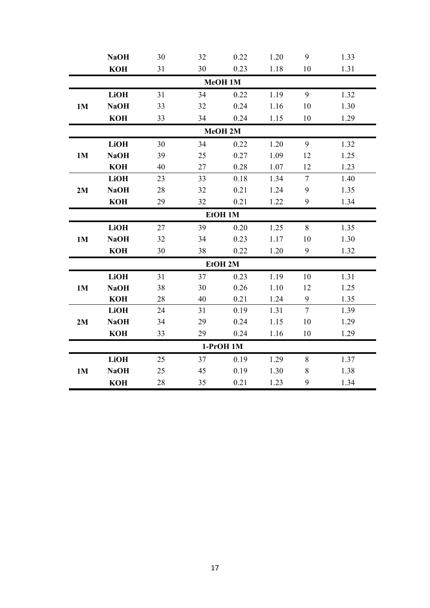|           | <b>NaOH</b> | 30 | 32 | 0.22      | 1.20 | 9              | 1.33 |  |  |  |  |
|-----------|-------------|----|----|-----------|------|----------------|------|--|--|--|--|
|           | <b>KOH</b>  | 31 | 30 | 0.23      | 1.18 | 10             | 1.31 |  |  |  |  |
|           |             |    |    | MeOH 1M   |      |                |      |  |  |  |  |
|           | <b>LiOH</b> | 31 | 34 | 0.22      | 1.19 | 9              | 1.32 |  |  |  |  |
| <b>1M</b> | <b>NaOH</b> | 33 | 32 | 0.24      | 1.16 | 10             | 1.30 |  |  |  |  |
|           | <b>KOH</b>  | 33 | 34 | 0.24      | 1.15 | 10             | 1.29 |  |  |  |  |
| MeOH 2M   |             |    |    |           |      |                |      |  |  |  |  |
|           | <b>LiOH</b> | 30 | 34 | 0.22      | 1.20 | 9              | 1.32 |  |  |  |  |
| 1M        | <b>NaOH</b> | 39 | 25 | 0.27      | 1.09 | 12             | 1.25 |  |  |  |  |
|           | <b>KOH</b>  | 40 | 27 | 0.28      | 1.07 | 12             | 1.23 |  |  |  |  |
|           | <b>LiOH</b> | 23 | 33 | 0.18      | 1.34 | $\overline{7}$ | 1.40 |  |  |  |  |
| 2M        | <b>NaOH</b> | 28 | 32 | 0.21      | 1.24 | 9              | 1.35 |  |  |  |  |
|           | <b>KOH</b>  | 29 | 32 | 0.21      | 1.22 | 9              | 1.34 |  |  |  |  |
|           |             |    |    | EtOH 1M   |      |                |      |  |  |  |  |
|           | <b>LiOH</b> | 27 | 39 | 0.20      | 1.25 | 8              | 1.35 |  |  |  |  |
| <b>1M</b> | <b>NaOH</b> | 32 | 34 | 0.23      | 1.17 | 10             | 1.30 |  |  |  |  |
|           | <b>KOH</b>  | 30 | 38 | 0.22      | 1.20 | 9              | 1.32 |  |  |  |  |
|           |             |    |    | EtOH 2M   |      |                |      |  |  |  |  |
|           | <b>LiOH</b> | 31 | 37 | 0.23      | 1.19 | 10             | 1.31 |  |  |  |  |
| <b>1M</b> | <b>NaOH</b> | 38 | 30 | 0.26      | 1.10 | 12             | 1.25 |  |  |  |  |
|           | <b>KOH</b>  | 28 | 40 | 0.21      | 1.24 | 9              | 1.35 |  |  |  |  |
|           | <b>LiOH</b> | 24 | 31 | 0.19      | 1.31 | $\tau$         | 1.39 |  |  |  |  |
| 2M        | <b>NaOH</b> | 34 | 29 | 0.24      | 1.15 | 10             | 1.29 |  |  |  |  |
|           | <b>KOH</b>  | 33 | 29 | 0.24      | 1.16 | 10             | 1.29 |  |  |  |  |
|           |             |    |    | 1-PrOH 1M |      |                |      |  |  |  |  |
|           | <b>LiOH</b> | 25 | 37 | 0.19      | 1.29 | 8              | 1.37 |  |  |  |  |
| 1M        | <b>NaOH</b> | 25 | 45 | 0.19      | 1.30 | $\,$ $\,$      | 1.38 |  |  |  |  |
|           | <b>KOH</b>  | 28 | 35 | 0.21      | 1.23 | 9              | 1.34 |  |  |  |  |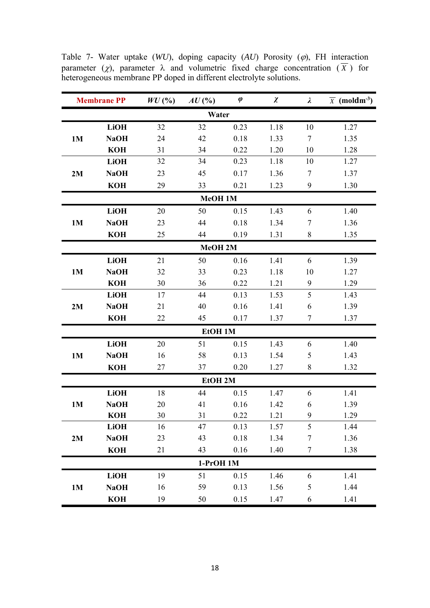| <b>Membrane PP</b> |             | $WU($ %) | $AU$ (%)             | $\pmb{\varphi}$ | $\chi$ | $\lambda$      | $\overline{X}$ (moldm <sup>-3</sup> ) |
|--------------------|-------------|----------|----------------------|-----------------|--------|----------------|---------------------------------------|
|                    |             |          | Water                |                 |        |                |                                       |
|                    | <b>LiOH</b> | 32       | 32                   | 0.23            | 1.18   | 10             | 1.27                                  |
| 1M                 | <b>NaOH</b> | 24       | 42                   | 0.18            | 1.33   | 7              | 1.35                                  |
|                    | <b>KOH</b>  | 31       | 34                   | 0.22            | 1.20   | 10             | 1.28                                  |
|                    | <b>LiOH</b> | 32       | 34                   | 0.23            | 1.18   | 10             | 1.27                                  |
| 2M                 | <b>NaOH</b> | 23       | 45                   | 0.17            | 1.36   | $\tau$         | 1.37                                  |
|                    | <b>KOH</b>  | 29       | 33                   | 0.21            | 1.23   | 9              | 1.30                                  |
|                    |             |          | MeOH 1M              |                 |        |                |                                       |
|                    | <b>LiOH</b> | 20       | 50                   | 0.15            | 1.43   | 6              | 1.40                                  |
| <b>1M</b>          | <b>NaOH</b> | 23       | 44                   | 0.18            | 1.34   | $\tau$         | 1.36                                  |
|                    | <b>KOH</b>  | 25       | 44                   | 0.19            | 1.31   | 8              | 1.35                                  |
|                    |             |          | MeOH 2M              |                 |        |                |                                       |
|                    | <b>LiOH</b> | 21       | 50                   | 0.16            | 1.41   | 6              | 1.39                                  |
| 1M                 | <b>NaOH</b> | 32       | 33                   | 0.23            | 1.18   | 10             | 1.27                                  |
|                    | <b>KOH</b>  | 30       | 36                   | 0.22            | 1.21   | 9              | 1.29                                  |
|                    | <b>LiOH</b> | 17       | 44                   | 0.13            | 1.53   | 5              | 1.43                                  |
| 2M                 | <b>NaOH</b> | 21       | 40                   | 0.16            | 1.41   | 6              | 1.39                                  |
|                    | <b>KOH</b>  | 22       | 45                   | 0.17            | 1.37   | $\overline{7}$ | 1.37                                  |
|                    |             |          | <b>EtOH 1M</b>       |                 |        |                |                                       |
|                    | <b>LiOH</b> | 20       | 51                   | 0.15            | 1.43   | 6              | 1.40                                  |
| 1 <sub>M</sub>     | <b>NaOH</b> | 16       | 58                   | 0.13            | 1.54   | 5              | 1.43                                  |
|                    | <b>KOH</b>  | 27       | 37                   | 0.20            | 1.27   | 8              | 1.32                                  |
|                    |             |          | <b>EtOH 2M</b>       |                 |        |                |                                       |
|                    | <b>LiOH</b> | 18       | 44                   | 0.15            | 1.47   | 6              | 1.41                                  |
| 1 <sub>M</sub>     | <b>NaOH</b> | 20       | 41                   | 0.16            | 1.42   | 6              | 1.39                                  |
|                    | <b>KOH</b>  | 30       | 31                   | 0.22            | 1.21   | 9              | 1.29                                  |
|                    | <b>LiOH</b> | 16       | 47                   | 0.13            | 1.57   | 5              | 1.44                                  |
| 2M                 | <b>NaOH</b> | 23       | 43                   | 0.18            | 1.34   | $\tau$         | 1.36                                  |
|                    | <b>KOH</b>  | 21       | 43                   | 0.16            | 1.40   | $\tau$         | 1.38                                  |
|                    |             |          | 1-PrOH <sub>1M</sub> |                 |        |                |                                       |
|                    | <b>LiOH</b> | 19       | 51                   | 0.15            | 1.46   | 6              | 1.41                                  |
| 1M                 | <b>NaOH</b> | 16       | 59                   | 0.13            | 1.56   | 5              | 1.44                                  |
|                    | <b>KOH</b>  | 19       | 50                   | 0.15            | 1.47   | 6              | 1.41                                  |

Table 7- Water uptake  $(WU)$ , doping capacity  $(AU)$  Porosity  $(\varphi)$ , FH interaction parameter ( $\chi$ ), parameter  $\lambda$  and volumetric fixed charge concentration ( $\overline{X}$ ) for heterogeneous membrane PP doped in different electrolyte solutions.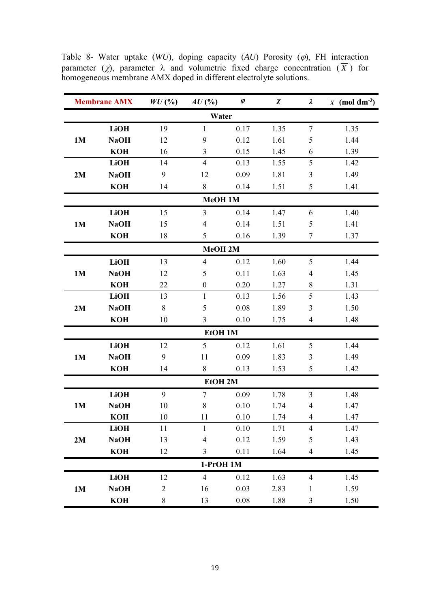|           | <b>Membrane AMX</b> | $WU($ %)       | $AU$ (%)         | $\pmb{\varphi}$ | $\chi$ | $\lambda$      | $\overline{X}$ (mol dm <sup>-3</sup> ) |  |  |  |  |
|-----------|---------------------|----------------|------------------|-----------------|--------|----------------|----------------------------------------|--|--|--|--|
|           |                     |                | Water            |                 |        |                |                                        |  |  |  |  |
|           | <b>LiOH</b>         | 19             | $\mathbf{1}$     | 0.17            | 1.35   | $\tau$         | 1.35                                   |  |  |  |  |
| 1M        | <b>NaOH</b>         | 12             | 9                | 0.12            | 1.61   | 5              | 1.44                                   |  |  |  |  |
|           | <b>KOH</b>          | 16             | $\overline{3}$   | 0.15            | 1.45   | 6              | 1.39                                   |  |  |  |  |
|           | <b>LiOH</b>         | 14             | $\overline{4}$   | 0.13            | 1.55   | 5              | 1.42                                   |  |  |  |  |
| 2M        | <b>NaOH</b>         | 9              | 12               | 0.09            | 1.81   | $\mathfrak{Z}$ | 1.49                                   |  |  |  |  |
|           | <b>KOH</b>          | 14             | 8                | 0.14            | 1.51   | 5              | 1.41                                   |  |  |  |  |
| MeOH 1M   |                     |                |                  |                 |        |                |                                        |  |  |  |  |
|           | <b>LiOH</b>         | 15             | 3                | 0.14            | 1.47   | 6              | 1.40                                   |  |  |  |  |
| 1M        | <b>NaOH</b>         | 15             | $\overline{4}$   | 0.14            | 1.51   | 5              | 1.41                                   |  |  |  |  |
|           | <b>KOH</b>          | 18             | 5                | 0.16            | 1.39   | $\tau$         | 1.37                                   |  |  |  |  |
|           |                     |                | MeOH 2M          |                 |        |                |                                        |  |  |  |  |
|           | <b>LiOH</b>         | 13             | $\overline{4}$   | 0.12            | 1.60   | 5              | 1.44                                   |  |  |  |  |
| 1M        | <b>NaOH</b>         | 12             | 5                | 0.11            | 1.63   | 4              | 1.45                                   |  |  |  |  |
|           | <b>KOH</b>          | 22             | $\boldsymbol{0}$ | 0.20            | 1.27   | $8\,$          | 1.31                                   |  |  |  |  |
|           | <b>LiOH</b>         | 13             | $\mathbf{1}$     | 0.13            | 1.56   | 5              | 1.43                                   |  |  |  |  |
| 2M        | <b>NaOH</b>         | 8              | 5                | 0.08            | 1.89   | 3              | 1.50                                   |  |  |  |  |
|           | <b>KOH</b>          | 10             | 3                | 0.10            | 1.75   | $\overline{4}$ | 1.48                                   |  |  |  |  |
|           |                     |                | EtOH 1M          |                 |        |                |                                        |  |  |  |  |
|           | <b>LiOH</b>         | 12             | 5                | 0.12            | 1.61   | 5              | 1.44                                   |  |  |  |  |
| <b>1M</b> | <b>NaOH</b>         | 9              | 11               | 0.09            | 1.83   | $\mathfrak{Z}$ | 1.49                                   |  |  |  |  |
|           | <b>KOH</b>          | 14             | 8                | 0.13            | 1.53   | 5              | 1.42                                   |  |  |  |  |
|           |                     |                | EtOH 2M          |                 |        |                |                                        |  |  |  |  |
|           | <b>LiOH</b>         | 9              | $\overline{7}$   | 0.09            | 1.78   | 3              | 1.48                                   |  |  |  |  |
| 1M        | <b>NaOH</b>         | 10             | 8                | 0.10            | 1.74   | $\overline{4}$ | 1.47                                   |  |  |  |  |
|           | <b>KOH</b>          | 10             | 11               | 0.10            | 1.74   | $\overline{4}$ | 1.47                                   |  |  |  |  |
|           | <b>LiOH</b>         | 11             | $\mathbf{1}$     | 0.10            | 1.71   | $\overline{4}$ | 1.47                                   |  |  |  |  |
| 2M        | <b>NaOH</b>         | 13             | $\overline{4}$   | 0.12            | 1.59   | 5              | 1.43                                   |  |  |  |  |
|           | <b>KOH</b>          | 12             | 3                | 0.11            | 1.64   | $\overline{4}$ | 1.45                                   |  |  |  |  |
|           |                     |                | $1-PrOH$ 1M      |                 |        |                |                                        |  |  |  |  |
|           | <b>LiOH</b>         | 12             | $\overline{4}$   | 0.12            | 1.63   | 4              | 1.45                                   |  |  |  |  |
| <b>1M</b> | <b>NaOH</b>         | $\overline{2}$ | 16               | 0.03            | 2.83   | $\mathbf{1}$   | 1.59                                   |  |  |  |  |
|           | <b>KOH</b>          | 8              | 13               | 0.08            | 1.88   | $\mathfrak{Z}$ | 1.50                                   |  |  |  |  |

Table 8- Water uptake  $(WU)$ , doping capacity  $(AU)$  Porosity  $(\varphi)$ , FH interaction parameter ( $\chi$ ), parameter  $\lambda$  and volumetric fixed charge concentration ( $\overline{X}$ ) for homogeneous membrane AMX doped in different electrolyte solutions.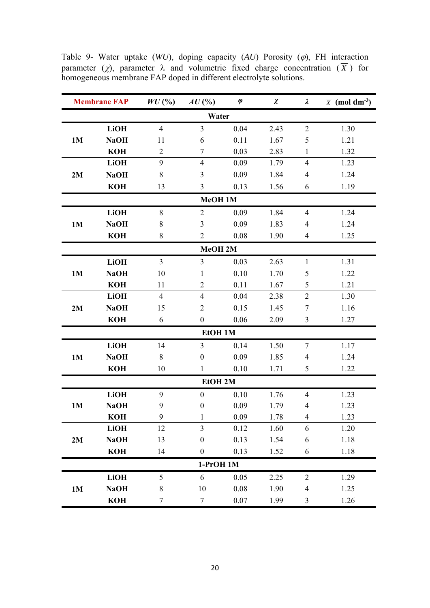|                | <b>Membrane FAP</b> |                | $AU$ (%)         | $\pmb{\varphi}$ | $\chi$ | $\lambda$      | $\overline{X}$ (mol dm <sup>-3</sup> ) |  |  |  |  |
|----------------|---------------------|----------------|------------------|-----------------|--------|----------------|----------------------------------------|--|--|--|--|
| Water          |                     |                |                  |                 |        |                |                                        |  |  |  |  |
|                | <b>LiOH</b>         | $\overline{4}$ | $\overline{3}$   | 0.04            | 2.43   | $\overline{2}$ | 1.30                                   |  |  |  |  |
| 1M             | <b>NaOH</b>         | 11             | 6                | 0.11            | 1.67   | 5              | 1.21                                   |  |  |  |  |
|                | <b>KOH</b>          | $\overline{2}$ | $\tau$           | 0.03            | 2.83   | $\mathbf{1}$   | 1.32                                   |  |  |  |  |
|                | <b>LiOH</b>         | 9              | $\overline{4}$   | 0.09            | 1.79   | $\overline{4}$ | 1.23                                   |  |  |  |  |
| 2M             | <b>NaOH</b>         | $8\,$          | 3                | 0.09            | 1.84   | $\overline{4}$ | 1.24                                   |  |  |  |  |
|                | <b>KOH</b>          | 13             | 3                | 0.13            | 1.56   | 6              | 1.19                                   |  |  |  |  |
| MeOH 1M        |                     |                |                  |                 |        |                |                                        |  |  |  |  |
|                | <b>LiOH</b>         | 8              | $\overline{2}$   | 0.09            | 1.84   | $\overline{4}$ | 1.24                                   |  |  |  |  |
| 1M             | <b>NaOH</b>         | 8              | 3                | 0.09            | 1.83   | $\overline{4}$ | 1.24                                   |  |  |  |  |
|                | <b>KOH</b>          | $8\,$          | $\overline{2}$   | 0.08            | 1.90   | $\overline{4}$ | 1.25                                   |  |  |  |  |
|                |                     |                | MeOH 2M          |                 |        |                |                                        |  |  |  |  |
|                | <b>LiOH</b>         | $\overline{3}$ | $\overline{3}$   | 0.03            | 2.63   | $\mathbf{1}$   | 1.31                                   |  |  |  |  |
| <b>1M</b>      | <b>NaOH</b>         | 10             | 1                | 0.10            | 1.70   | 5              | 1.22                                   |  |  |  |  |
|                | <b>KOH</b>          | 11             | $\overline{2}$   | 0.11            | 1.67   | 5              | 1.21                                   |  |  |  |  |
|                | <b>LiOH</b>         | $\overline{4}$ | $\overline{4}$   | 0.04            | 2.38   | $\overline{2}$ | 1.30                                   |  |  |  |  |
| 2M             | <b>NaOH</b>         | 15             | $\overline{2}$   | 0.15            | 1.45   | $\tau$         | 1.16                                   |  |  |  |  |
|                | <b>KOH</b>          | 6              | $\boldsymbol{0}$ | 0.06            | 2.09   | 3              | 1.27                                   |  |  |  |  |
|                |                     |                | <b>EtOH 1M</b>   |                 |        |                |                                        |  |  |  |  |
|                | <b>LiOH</b>         | 14             | $\overline{3}$   | 0.14            | 1.50   | $\tau$         | 1.17                                   |  |  |  |  |
| 1 <sub>M</sub> | <b>NaOH</b>         | 8              | $\boldsymbol{0}$ | 0.09            | 1.85   | $\overline{4}$ | 1.24                                   |  |  |  |  |
|                | <b>KOH</b>          | 10             | 1                | 0.10            | 1.71   | 5              | 1.22                                   |  |  |  |  |
|                |                     |                | EtOH 2M          |                 |        |                |                                        |  |  |  |  |
|                | <b>LiOH</b>         | 9              | $\boldsymbol{0}$ | 0.10            | 1.76   | $\overline{4}$ | 1.23                                   |  |  |  |  |
| 1 <sub>M</sub> | <b>NaOH</b>         | 9              | $\boldsymbol{0}$ | 0.09            | 1.79   | $\overline{4}$ | 1.23                                   |  |  |  |  |
|                | <b>KOH</b>          | 9              | 1                | 0.09            | 1.78   | $\overline{4}$ | 1.23                                   |  |  |  |  |
|                | <b>LiOH</b>         | 12             | $\overline{3}$   | 0.12            | 1.60   | 6              | 1.20                                   |  |  |  |  |
| 2M             | <b>NaOH</b>         | 13             | $\boldsymbol{0}$ | 0.13            | 1.54   | 6              | 1.18                                   |  |  |  |  |
|                | <b>KOH</b>          | 14             | $\boldsymbol{0}$ | 0.13            | 1.52   | 6              | 1.18                                   |  |  |  |  |
|                |                     |                | 1-PrOH 1M        |                 |        |                |                                        |  |  |  |  |
|                | <b>LiOH</b>         | 5              | 6                | 0.05            | 2.25   | $\overline{2}$ | 1.29                                   |  |  |  |  |
| <b>1M</b>      | <b>NaOH</b>         | $\,8\,$        | 10               | 0.08            | 1.90   | 4              | 1.25                                   |  |  |  |  |
|                | <b>KOH</b>          | $\tau$         | $\tau$           | 0.07            | 1.99   | $\mathfrak{Z}$ | 1.26                                   |  |  |  |  |

Table 9- Water uptake  $(WU)$ , doping capacity  $(AU)$  Porosity  $(\varphi)$ , FH interaction parameter ( $\chi$ ), parameter  $\lambda$  and volumetric fixed charge concentration ( $\overline{X}$ ) for homogeneous membrane FAP doped in different electrolyte solutions.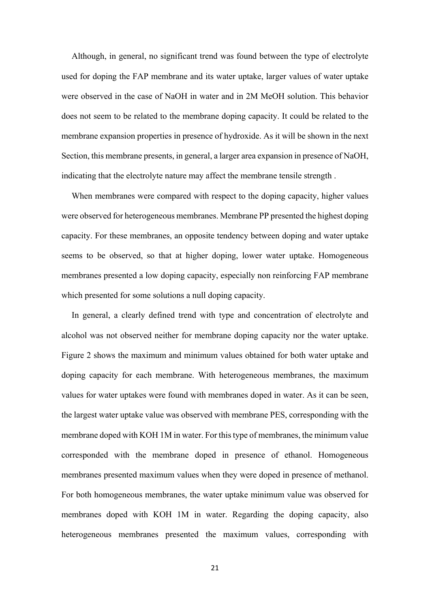Although, in general, no significant trend was found between the type of electrolyte used for doping the FAP membrane and its water uptake, larger values of water uptake were observed in the case of NaOH in water and in 2M MeOH solution. This behavior does not seem to be related to the membrane doping capacity. It could be related to the membrane expansion properties in presence of hydroxide. As it will be shown in the next Section, this membrane presents, in general, a larger area expansion in presence of NaOH, indicating that the electrolyte nature may affect the membrane tensile strength .

 When membranes were compared with respect to the doping capacity, higher values were observed for heterogeneous membranes. Membrane PP presented the highest doping capacity. For these membranes, an opposite tendency between doping and water uptake seems to be observed, so that at higher doping, lower water uptake. Homogeneous membranes presented a low doping capacity, especially non reinforcing FAP membrane which presented for some solutions a null doping capacity.

 In general, a clearly defined trend with type and concentration of electrolyte and alcohol was not observed neither for membrane doping capacity nor the water uptake. Figure 2 shows the maximum and minimum values obtained for both water uptake and doping capacity for each membrane. With heterogeneous membranes, the maximum values for water uptakes were found with membranes doped in water. As it can be seen, the largest water uptake value was observed with membrane PES, corresponding with the membrane doped with KOH 1M in water. For this type of membranes, the minimum value corresponded with the membrane doped in presence of ethanol. Homogeneous membranes presented maximum values when they were doped in presence of methanol. For both homogeneous membranes, the water uptake minimum value was observed for membranes doped with KOH 1M in water. Regarding the doping capacity, also heterogeneous membranes presented the maximum values, corresponding with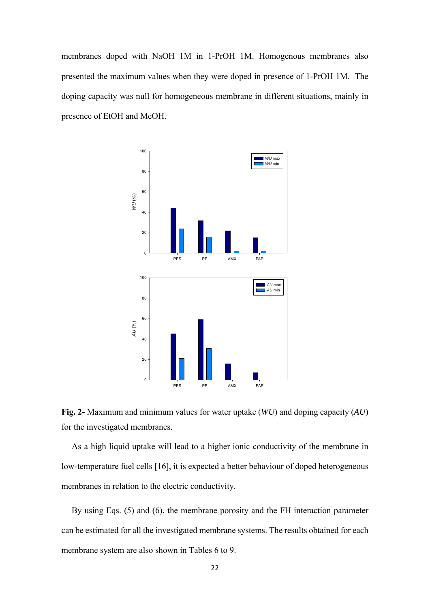membranes doped with NaOH 1M in 1-PrOH 1M. Homogenous membranes also presented the maximum values when they were doped in presence of 1-PrOH 1M. The doping capacity was null for homogeneous membrane in different situations, mainly in presence of EtOH and MeOH.



**Fig. 2-** Maximum and minimum values for water uptake (*WU*) and doping capacity (*AU*) for the investigated membranes.

As a high liquid uptake will lead to a higher ionic conductivity of the membrane in low-temperature fuel cells [16], it is expected a better behaviour of doped heterogeneous membranes in relation to the electric conductivity.

 By using Eqs. (5) and (6), the membrane porosity and the FH interaction parameter can be estimated for all the investigated membrane systems. The results obtained for each membrane system are also shown in Tables 6 to 9.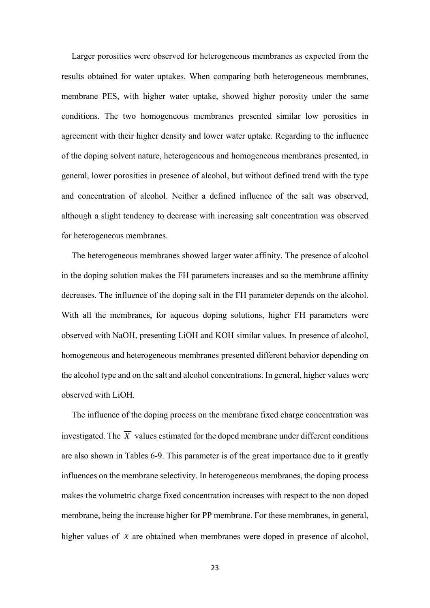Larger porosities were observed for heterogeneous membranes as expected from the results obtained for water uptakes. When comparing both heterogeneous membranes, membrane PES, with higher water uptake, showed higher porosity under the same conditions. The two homogeneous membranes presented similar low porosities in agreement with their higher density and lower water uptake. Regarding to the influence of the doping solvent nature, heterogeneous and homogeneous membranes presented, in general, lower porosities in presence of alcohol, but without defined trend with the type and concentration of alcohol. Neither a defined influence of the salt was observed, although a slight tendency to decrease with increasing salt concentration was observed for heterogeneous membranes.

 The heterogeneous membranes showed larger water affinity. The presence of alcohol in the doping solution makes the FH parameters increases and so the membrane affinity decreases. The influence of the doping salt in the FH parameter depends on the alcohol. With all the membranes, for aqueous doping solutions, higher FH parameters were observed with NaOH, presenting LiOH and KOH similar values. In presence of alcohol, homogeneous and heterogeneous membranes presented different behavior depending on the alcohol type and on the salt and alcohol concentrations. In general, higher values were observed with LiOH.

 The influence of the doping process on the membrane fixed charge concentration was investigated. The  $\overline{X}$  values estimated for the doped membrane under different conditions are also shown in Tables 6-9. This parameter is of the great importance due to it greatly influences on the membrane selectivity. In heterogeneous membranes, the doping process makes the volumetric charge fixed concentration increases with respect to the non doped membrane, being the increase higher for PP membrane. For these membranes, in general, higher values of  $\overline{X}$  are obtained when membranes were doped in presence of alcohol,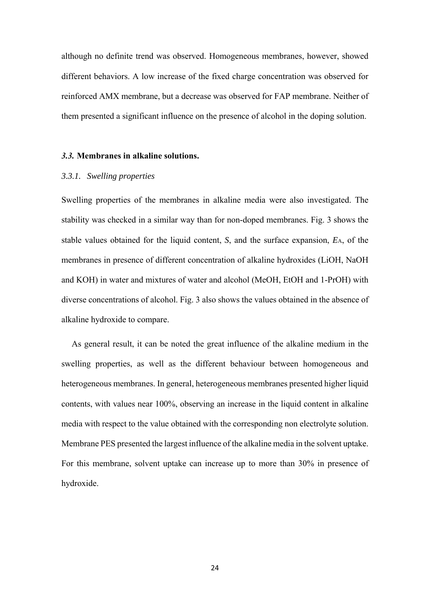although no definite trend was observed. Homogeneous membranes, however, showed different behaviors. A low increase of the fixed charge concentration was observed for reinforced AMX membrane, but a decrease was observed for FAP membrane. Neither of them presented a significant influence on the presence of alcohol in the doping solution.

#### *3.3.* **Membranes in alkaline solutions.**

# *3.3.1. Swelling properties*

Swelling properties of the membranes in alkaline media were also investigated. The stability was checked in a similar way than for non-doped membranes. Fig. 3 shows the stable values obtained for the liquid content, *S*, and the surface expansion, *E*A, of the membranes in presence of different concentration of alkaline hydroxides (LiOH, NaOH and KOH) in water and mixtures of water and alcohol (MeOH, EtOH and 1-PrOH) with diverse concentrations of alcohol. Fig. 3 also shows the values obtained in the absence of alkaline hydroxide to compare.

 As general result, it can be noted the great influence of the alkaline medium in the swelling properties, as well as the different behaviour between homogeneous and heterogeneous membranes. In general, heterogeneous membranes presented higher liquid contents, with values near 100%, observing an increase in the liquid content in alkaline media with respect to the value obtained with the corresponding non electrolyte solution. Membrane PES presented the largest influence of the alkaline media in the solvent uptake. For this membrane, solvent uptake can increase up to more than 30% in presence of hydroxide.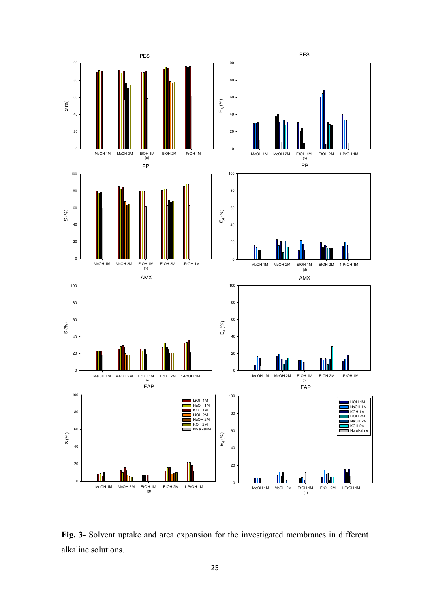

**Fig. 3-** Solvent uptake and area expansion for the investigated membranes in different alkaline solutions.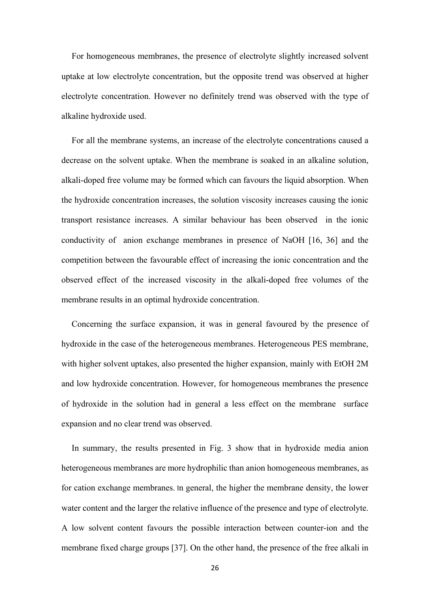For homogeneous membranes, the presence of electrolyte slightly increased solvent uptake at low electrolyte concentration, but the opposite trend was observed at higher electrolyte concentration. However no definitely trend was observed with the type of alkaline hydroxide used.

 For all the membrane systems, an increase of the electrolyte concentrations caused a decrease on the solvent uptake. When the membrane is soaked in an alkaline solution, alkali-doped free volume may be formed which can favours the liquid absorption. When the hydroxide concentration increases, the solution viscosity increases causing the ionic transport resistance increases. A similar behaviour has been observed in the ionic conductivity of anion exchange membranes in presence of NaOH [16, 36] and the competition between the favourable effect of increasing the ionic concentration and the observed effect of the increased viscosity in the alkali-doped free volumes of the membrane results in an optimal hydroxide concentration.

Concerning the surface expansion, it was in general favoured by the presence of hydroxide in the case of the heterogeneous membranes. Heterogeneous PES membrane, with higher solvent uptakes, also presented the higher expansion, mainly with EtOH 2M and low hydroxide concentration. However, for homogeneous membranes the presence of hydroxide in the solution had in general a less effect on the membrane surface expansion and no clear trend was observed.

In summary, the results presented in Fig. 3 show that in hydroxide media anion heterogeneous membranes are more hydrophilic than anion homogeneous membranes, as for cation exchange membranes. In general, the higher the membrane density, the lower water content and the larger the relative influence of the presence and type of electrolyte. A low solvent content favours the possible interaction between counter-ion and the membrane fixed charge groups [37]. On the other hand, the presence of the free alkali in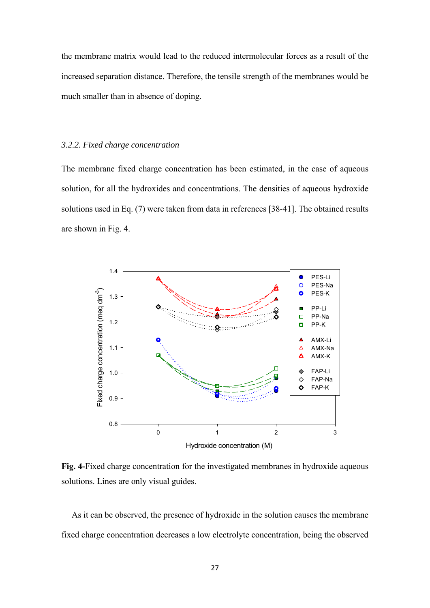the membrane matrix would lead to the reduced intermolecular forces as a result of the increased separation distance. Therefore, the tensile strength of the membranes would be much smaller than in absence of doping.

#### *3.2.2. Fixed charge concentration*

The membrane fixed charge concentration has been estimated, in the case of aqueous solution, for all the hydroxides and concentrations. The densities of aqueous hydroxide solutions used in Eq. (7) were taken from data in references [38-41]. The obtained results are shown in Fig. 4.



**Fig. 4-**Fixed charge concentration for the investigated membranes in hydroxide aqueous solutions. Lines are only visual guides.

 As it can be observed, the presence of hydroxide in the solution causes the membrane fixed charge concentration decreases a low electrolyte concentration, being the observed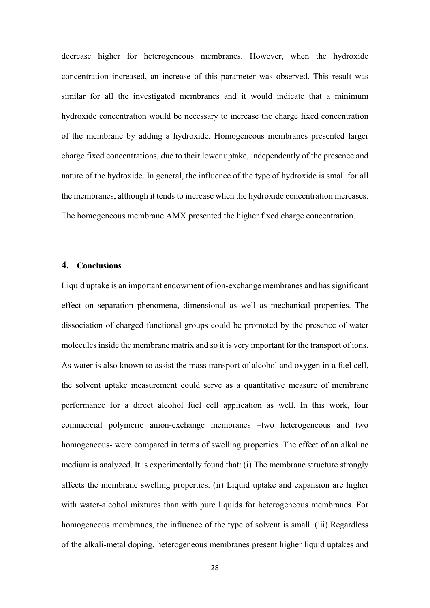decrease higher for heterogeneous membranes. However, when the hydroxide concentration increased, an increase of this parameter was observed. This result was similar for all the investigated membranes and it would indicate that a minimum hydroxide concentration would be necessary to increase the charge fixed concentration of the membrane by adding a hydroxide. Homogeneous membranes presented larger charge fixed concentrations, due to their lower uptake, independently of the presence and nature of the hydroxide. In general, the influence of the type of hydroxide is small for all the membranes, although it tends to increase when the hydroxide concentration increases. The homogeneous membrane AMX presented the higher fixed charge concentration.

# **4. Conclusions**

Liquid uptake is an important endowment of ion-exchange membranes and has significant effect on separation phenomena, dimensional as well as mechanical properties. The dissociation of charged functional groups could be promoted by the presence of water molecules inside the membrane matrix and so it is very important for the transport of ions. As water is also known to assist the mass transport of alcohol and oxygen in a fuel cell, the solvent uptake measurement could serve as a quantitative measure of membrane performance for a direct alcohol fuel cell application as well. In this work, four commercial polymeric anion-exchange membranes –two heterogeneous and two homogeneous- were compared in terms of swelling properties. The effect of an alkaline medium is analyzed. It is experimentally found that: (i) The membrane structure strongly affects the membrane swelling properties. (ii) Liquid uptake and expansion are higher with water-alcohol mixtures than with pure liquids for heterogeneous membranes. For homogeneous membranes, the influence of the type of solvent is small. (iii) Regardless of the alkali-metal doping, heterogeneous membranes present higher liquid uptakes and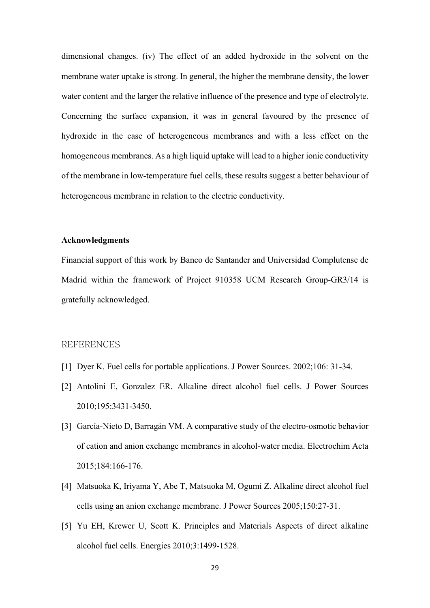dimensional changes. (iv) The effect of an added hydroxide in the solvent on the membrane water uptake is strong. In general, the higher the membrane density, the lower water content and the larger the relative influence of the presence and type of electrolyte. Concerning the surface expansion, it was in general favoured by the presence of hydroxide in the case of heterogeneous membranes and with a less effect on the homogeneous membranes. As a high liquid uptake will lead to a higher ionic conductivity of the membrane in low-temperature fuel cells, these results suggest a better behaviour of heterogeneous membrane in relation to the electric conductivity.

# **Acknowledgments**

Financial support of this work by Banco de Santander and Universidad Complutense de Madrid within the framework of Project 910358 UCM Research Group-GR3/14 is gratefully acknowledged.

# REFERENCES

- [1] Dyer K. Fuel cells for portable applications. J Power Sources. 2002;106: 31-34.
- [2] Antolini E, Gonzalez ER. Alkaline direct alcohol fuel cells. J Power Sources 2010;195:3431-3450.
- [3] García-Nieto D, Barragán VM. A comparative study of the electro-osmotic behavior of cation and anion exchange membranes in alcohol-water media. Electrochim Acta 2015;184:166-176.
- [4] Matsuoka K, Iriyama Y, Abe T, Matsuoka M, Ogumi Z. Alkaline direct alcohol fuel cells using an anion exchange membrane. J Power Sources 2005;150:27-31.
- [5] Yu EH, Krewer U, Scott K. Principles and Materials Aspects of direct alkaline alcohol fuel cells. Energies 2010;3:1499-1528.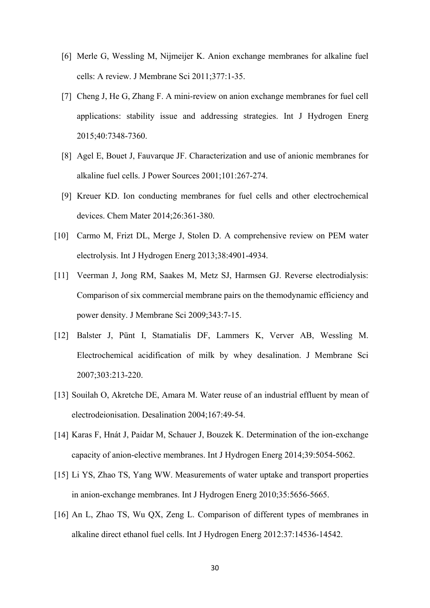- [6] Merle G, Wessling M, Nijmeijer K. Anion exchange membranes for alkaline fuel cells: A review. J Membrane Sci 2011;377:1-35.
- [7] Cheng J, He G, Zhang F. A mini-review on anion exchange membranes for fuel cell applications: stability issue and addressing strategies. Int J Hydrogen Energ 2015;40:7348-7360.
- [8] Agel E, Bouet J, Fauvarque JF. Characterization and use of anionic membranes for alkaline fuel cells. J Power Sources 2001;101:267-274.
- [9] Kreuer KD. Ion conducting membranes for fuel cells and other electrochemical devices. Chem Mater 2014;26:361-380.
- [10] Carmo M, Frizt DL, Merge J, Stolen D. A comprehensive review on PEM water electrolysis. Int J Hydrogen Energ 2013;38:4901-4934.
- [11] Veerman J, Jong RM, Saakes M, Metz SJ, Harmsen GJ. Reverse electrodialysis: Comparison of six commercial membrane pairs on the themodynamic efficiency and power density. J Membrane Sci 2009;343:7-15.
- [12] Balster J, Pünt I, Stamatialis DF, Lammers K, Verver AB, Wessling M. Electrochemical acidification of milk by whey desalination. J Membrane Sci 2007;303:213-220.
- [13] Souilah O, Akretche DE, Amara M. Water reuse of an industrial effluent by mean of electrodeionisation. Desalination 2004;167:49-54.
- [14] Karas F, Hnát J, Paidar M, Schauer J, Bouzek K. Determination of the ion-exchange capacity of anion-elective membranes. Int J Hydrogen Energ 2014;39:5054-5062.
- [15] Li YS, Zhao TS, Yang WW. Measurements of water uptake and transport properties in anion-exchange membranes. Int J Hydrogen Energ 2010;35:5656-5665.
- [16] An L, Zhao TS, Wu QX, Zeng L. Comparison of different types of membranes in alkaline direct ethanol fuel cells. Int J Hydrogen Energ 2012:37:14536-14542.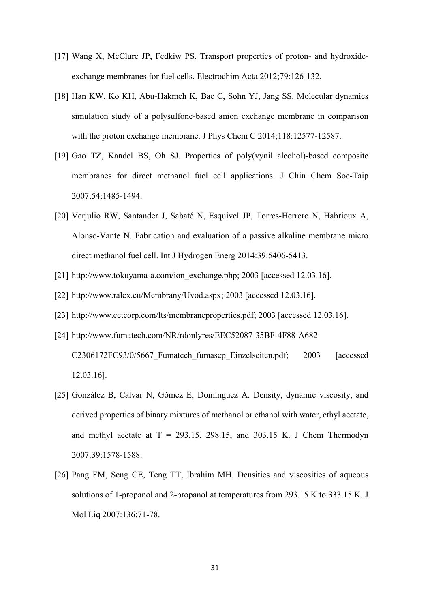- [17] Wang X, McClure JP, Fedkiw PS. Transport properties of proton- and hydroxideexchange membranes for fuel cells. Electrochim Acta 2012;79:126-132.
- [18] Han KW, Ko KH, Abu-Hakmeh K, Bae C, Sohn YJ, Jang SS. Molecular dynamics simulation study of a polysulfone-based anion exchange membrane in comparison with the proton exchange membrane. J Phys Chem C 2014;118:12577-12587.
- [19] Gao TZ, Kandel BS, Oh SJ. Properties of poly(vynil alcohol)-based composite membranes for direct methanol fuel cell applications. J Chin Chem Soc-Taip 2007;54:1485-1494.
- [20] Verjulio RW, Santander J, Sabaté N, Esquivel JP, Torres-Herrero N, Habrioux A, Alonso-Vante N. Fabrication and evaluation of a passive alkaline membrane micro direct methanol fuel cell. Int J Hydrogen Energ 2014:39:5406-5413.
- [21] http://www.tokuyama-a.com/ion\_exchange.php; 2003 [accessed 12.03.16].
- [22] http://www.ralex.eu/Membrany/Uvod.aspx; 2003 [accessed 12.03.16].
- [23] http://www.eetcorp.com/lts/membraneproperties.pdf; 2003 [accessed 12.03.16].
- [24] http://www.fumatech.com/NR/rdonlyres/EEC52087-35BF-4F88-A682- C2306172FC93/0/5667 Fumatech fumasep Einzelseiten.pdf; 2003 [accessed] 12.03.16].
- [25] González B, Calvar N, Gómez E, Dominguez A. Density, dynamic viscosity, and derived properties of binary mixtures of methanol or ethanol with water, ethyl acetate, and methyl acetate at  $T = 293.15$ , 298.15, and 303.15 K. J Chem Thermodyn 2007:39:1578-1588.
- [26] Pang FM, Seng CE, Teng TT, Ibrahim MH. Densities and viscosities of aqueous solutions of 1-propanol and 2-propanol at temperatures from 293.15 K to 333.15 K. J Mol Liq 2007:136:71-78.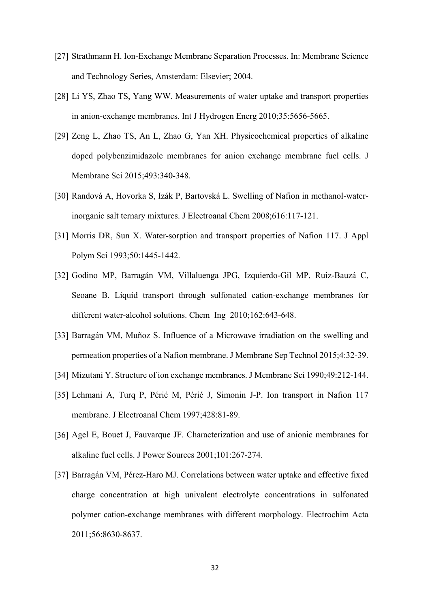- [27] Strathmann H. Ion-Exchange Membrane Separation Processes. In: Membrane Science and Technology Series, Amsterdam: Elsevier; 2004.
- [28] Li YS, Zhao TS, Yang WW. Measurements of water uptake and transport properties in anion-exchange membranes. Int J Hydrogen Energ 2010;35:5656-5665.
- [29] Zeng L, Zhao TS, An L, Zhao G, Yan XH. Physicochemical properties of alkaline doped polybenzimidazole membranes for anion exchange membrane fuel cells. J Membrane Sci 2015;493:340-348.
- [30] Randová A, Hovorka S, Izák P, Bartovská L. Swelling of Nafion in methanol-waterinorganic salt ternary mixtures. J Electroanal Chem 2008;616:117-121.
- [31] Morris DR, Sun X. Water-sorption and transport properties of Nafion 117. J Appl Polym Sci 1993;50:1445-1442.
- [32] Godino MP, Barragán VM, Villaluenga JPG, Izquierdo-Gil MP, Ruiz-Bauzá C, Seoane B. Liquid transport through sulfonated cation-exchange membranes for different water-alcohol solutions. Chem Ing 2010;162:643-648.
- [33] Barragán VM, Muñoz S. Influence of a Microwave irradiation on the swelling and permeation properties of a Nafion membrane. J Membrane Sep Technol 2015;4:32-39.
- [34] Mizutani Y. Structure of ion exchange membranes. J Membrane Sci 1990;49:212-144.
- [35] Lehmani A, Turq P, Périé M, Périé J, Simonin J-P. Ion transport in Nafion 117 membrane. J Electroanal Chem 1997;428:81-89.
- [36] Agel E, Bouet J, Fauvarque JF. Characterization and use of anionic membranes for alkaline fuel cells. J Power Sources 2001;101:267-274.
- [37] Barragán VM, Pérez-Haro MJ. Correlations between water uptake and effective fixed charge concentration at high univalent electrolyte concentrations in sulfonated polymer cation-exchange membranes with different morphology. Electrochim Acta 2011;56:8630-8637.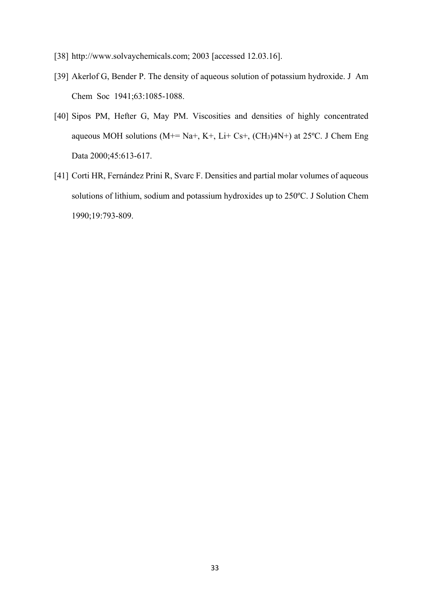- [38] http://www.solvaychemicals.com; 2003 [accessed 12.03.16].
- [39] Akerlof G, Bender P. The density of aqueous solution of potassium hydroxide. J Am Chem Soc 1941;63:1085-1088.
- [40] Sipos PM, Hefter G, May PM. Viscosities and densities of highly concentrated aqueous MOH solutions ( $M+= Na+$ ,  $K+$ , Li+ Cs+, (CH<sub>3</sub>)4N+) at 25<sup>o</sup>C. J Chem Eng Data 2000;45:613-617.
- [41] Corti HR, Fernández Prini R, Svarc F. Densities and partial molar volumes of aqueous solutions of lithium, sodium and potassium hydroxides up to 250ºC. J Solution Chem 1990;19:793-809.